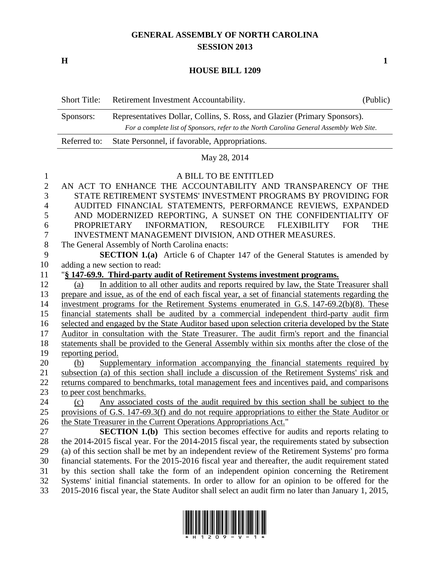## **GENERAL ASSEMBLY OF NORTH CAROLINA SESSION 2013**

**H 1**

#### **HOUSE BILL 1209**

| <b>Short Title:</b>                                                                                                                                                               | Retirement Investment Accountability.          | (Public) |
|-----------------------------------------------------------------------------------------------------------------------------------------------------------------------------------|------------------------------------------------|----------|
| Representatives Dollar, Collins, S. Ross, and Glazier (Primary Sponsors).<br>Sponsors:<br>For a complete list of Sponsors, refer to the North Carolina General Assembly Web Site. |                                                |          |
| Referred to:                                                                                                                                                                      | State Personnel, if favorable, Appropriations. |          |

# May 28, 2014

### 1 A BILL TO BE ENTITLED

| $\sqrt{2}$     | AN ACT TO ENHANCE THE ACCOUNTABILITY AND TRANSPARENCY OF THE                                       |
|----------------|----------------------------------------------------------------------------------------------------|
| 3              | STATE RETIREMENT SYSTEMS' INVESTMENT PROGRAMS BY PROVIDING FOR                                     |
| $\overline{4}$ | AUDITED FINANCIAL STATEMENTS, PERFORMANCE REVIEWS, EXPANDED                                        |
| 5              | AND MODERNIZED REPORTING, A SUNSET ON THE CONFIDENTIALITY OF                                       |
| 6              | PROPRIETARY INFORMATION, RESOURCE<br><b>FLEXIBILITY</b><br><b>FOR</b><br><b>THE</b>                |
| $\overline{7}$ | INVESTMENT MANAGEMENT DIVISION, AND OTHER MEASURES.                                                |
| 8              | The General Assembly of North Carolina enacts:                                                     |
| 9              | SECTION 1.(a) Article 6 of Chapter 147 of the General Statutes is amended by                       |
| 10             | adding a new section to read:                                                                      |
| 11             | "§ 147-69.9. Third-party audit of Retirement Systems investment programs.                          |
| 12             | In addition to all other audits and reports required by law, the State Treasurer shall<br>(a)      |
| 13             | prepare and issue, as of the end of each fiscal year, a set of financial statements regarding the  |
| 14             | investment programs for the Retirement Systems enumerated in G.S. 147-69.2(b)(8). These            |
| 15             | financial statements shall be audited by a commercial independent third-party audit firm           |
| 16             | selected and engaged by the State Auditor based upon selection criteria developed by the State     |
| 17             | Auditor in consultation with the State Treasurer. The audit firm's report and the financial        |
| 18             | statements shall be provided to the General Assembly within six months after the close of the      |
| 19             | reporting period.                                                                                  |
| 20             | Supplementary information accompanying the financial statements required by<br>(b)                 |
| 21             | subsection (a) of this section shall include a discussion of the Retirement Systems' risk and      |
| 22             | returns compared to benchmarks, total management fees and incentives paid, and comparisons         |
| 23             | to peer cost benchmarks.                                                                           |
| 24             | Any associated costs of the audit required by this section shall be subject to the<br>(c)          |
| 25             | provisions of G.S. 147-69.3(f) and do not require appropriations to either the State Auditor or    |
| 26             | the State Treasurer in the Current Operations Appropriations Act."                                 |
| 27             | <b>SECTION 1.(b)</b> This section becomes effective for audits and reports relating to             |
| 28             | the 2014-2015 fiscal year. For the 2014-2015 fiscal year, the requirements stated by subsection    |
| 29             | (a) of this section shall be met by an independent review of the Retirement Systems' pro forma     |
| 30             | financial statements. For the 2015-2016 fiscal year and thereafter, the audit requirement stated   |
| 31             | by this section shall take the form of an independent opinion concerning the Retirement            |
| 32             | Systems' initial financial statements. In order to allow for an opinion to be offered for the      |
| 33             | 2015-2016 fiscal year, the State Auditor shall select an audit firm no later than January 1, 2015, |

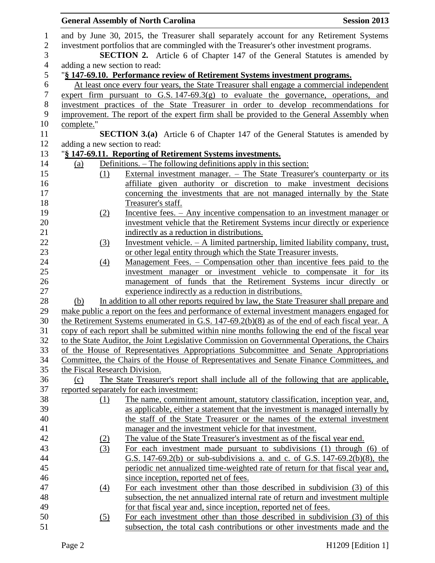|                  |                               | <b>General Assembly of North Carolina</b><br><b>Session 2013</b>                                                                                                                  |  |
|------------------|-------------------------------|-----------------------------------------------------------------------------------------------------------------------------------------------------------------------------------|--|
| $\mathbf{1}$     |                               | and by June 30, 2015, the Treasurer shall separately account for any Retirement Systems                                                                                           |  |
| $\sqrt{2}$       |                               | investment portfolios that are commingled with the Treasurer's other investment programs.                                                                                         |  |
| 3                |                               | <b>SECTION 2.</b> Article 6 of Chapter 147 of the General Statutes is amended by                                                                                                  |  |
| $\overline{4}$   | adding a new section to read: |                                                                                                                                                                                   |  |
| $\mathfrak s$    |                               | "§ 147-69.10. Performance review of Retirement Systems investment programs.                                                                                                       |  |
| $\boldsymbol{6}$ |                               | At least once every four years, the State Treasurer shall engage a commercial independent                                                                                         |  |
| $\boldsymbol{7}$ |                               | expert firm pursuant to G.S. $147-69.3(g)$ to evaluate the governance, operations, and                                                                                            |  |
| $8\,$            |                               | investment practices of the State Treasurer in order to develop recommendations for                                                                                               |  |
| 9                |                               | improvement. The report of the expert firm shall be provided to the General Assembly when                                                                                         |  |
| 10               | complete."                    |                                                                                                                                                                                   |  |
| 11               |                               | <b>SECTION 3.(a)</b> Article 6 of Chapter 147 of the General Statutes is amended by                                                                                               |  |
| 12               | adding a new section to read: |                                                                                                                                                                                   |  |
| 13               |                               | "§ 147-69.11. Reporting of Retirement Systems investments.                                                                                                                        |  |
| 14               | (a)                           | Definitions. – The following definitions apply in this section:                                                                                                                   |  |
| 15               | (1)                           | External investment manager. – The State Treasurer's counterparty or its                                                                                                          |  |
| 16               |                               | affiliate given authority or discretion to make investment decisions                                                                                                              |  |
| 17               |                               | concerning the investments that are not managed internally by the State                                                                                                           |  |
| 18               |                               | Treasurer's staff.                                                                                                                                                                |  |
| 19               | (2)                           | Incentive fees. – Any incentive compensation to an investment manager or                                                                                                          |  |
| 20               |                               | investment vehicle that the Retirement Systems incur directly or experience                                                                                                       |  |
| 21               |                               | indirectly as a reduction in distributions.                                                                                                                                       |  |
| 22               | (3)                           | Investment vehicle. $-$ A limited partnership, limited liability company, trust,                                                                                                  |  |
| 23               |                               | or other legal entity through which the State Treasurer invests.                                                                                                                  |  |
| 24               | $\left(4\right)$              | <u>Management Fees. – Compensation other than incentive fees paid to the</u>                                                                                                      |  |
| 25               |                               | investment manager or investment vehicle to compensate it for its                                                                                                                 |  |
| 26               |                               | management of funds that the Retirement Systems incur directly or                                                                                                                 |  |
| 27               |                               | experience indirectly as a reduction in distributions.                                                                                                                            |  |
| 28               | (b)                           | In addition to all other reports required by law, the State Treasurer shall prepare and                                                                                           |  |
| 29               |                               | make public a report on the fees and performance of external investment managers engaged for                                                                                      |  |
| 30               |                               | the Retirement Systems enumerated in G.S. $147-69.2(b)(8)$ as of the end of each fiscal year. A                                                                                   |  |
| 31               |                               | copy of each report shall be submitted within nine months following the end of the fiscal year                                                                                    |  |
| 32<br>33         |                               | to the State Auditor, the Joint Legislative Commission on Governmental Operations, the Chairs                                                                                     |  |
| 34               |                               | of the House of Representatives Appropriations Subcommittee and Senate Appropriations<br>Committee, the Chairs of the House of Representatives and Senate Finance Committees, and |  |
| 35               | the Fiscal Research Division. |                                                                                                                                                                                   |  |
| 36               | (c)                           | The State Treasurer's report shall include all of the following that are applicable,                                                                                              |  |
| 37               |                               | reported separately for each investment:                                                                                                                                          |  |
| 38               | (1)                           | The name, commitment amount, statutory classification, inception year, and,                                                                                                       |  |
| 39               |                               | as applicable, either a statement that the investment is managed internally by                                                                                                    |  |
| 40               |                               | the staff of the State Treasurer or the names of the external investment                                                                                                          |  |
| 41               |                               | manager and the investment vehicle for that investment.                                                                                                                           |  |
| 42               | <u>(2)</u>                    | The value of the State Treasurer's investment as of the fiscal year end.                                                                                                          |  |
| 43               | (3)                           | For each investment made pursuant to subdivisions (1) through (6) of                                                                                                              |  |
| 44               |                               | G.S. 147-69.2(b) or sub-subdivisions a. and c. of G.S. 147-69.2(b)(8), the                                                                                                        |  |
| 45               |                               | periodic net annualized time-weighted rate of return for that fiscal year and,                                                                                                    |  |
| 46               |                               | since inception, reported net of fees.                                                                                                                                            |  |
| 47               | (4)                           | For each investment other than those described in subdivision (3) of this                                                                                                         |  |
| 48               |                               | subsection, the net annualized internal rate of return and investment multiple                                                                                                    |  |
| 49               |                               | for that fiscal year and, since inception, reported net of fees.                                                                                                                  |  |
| 50               | (5)                           | For each investment other than those described in subdivision (3) of this                                                                                                         |  |
| 51               |                               | subsection, the total cash contributions or other investments made and the                                                                                                        |  |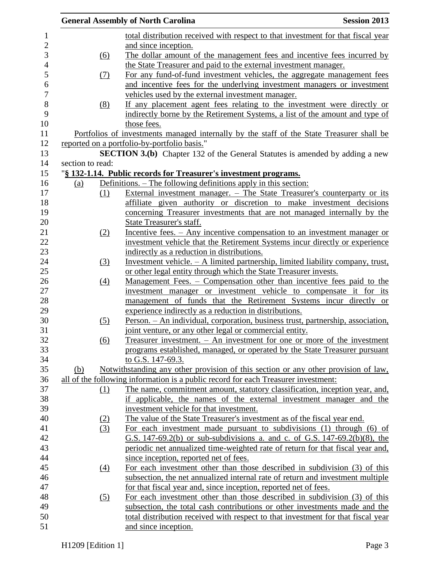|                  | <b>Session 2013</b><br><b>General Assembly of North Carolina</b>                          |
|------------------|-------------------------------------------------------------------------------------------|
|                  | total distribution received with respect to that investment for that fiscal year          |
|                  | and since inception.                                                                      |
| (6)              | The dollar amount of the management fees and incentive fees incurred by                   |
|                  | the State Treasurer and paid to the external investment manager.                          |
| (7)              | For any fund-of-fund investment vehicles, the aggregate management fees                   |
|                  | and incentive fees for the underlying investment managers or investment                   |
|                  | vehicles used by the external investment manager.                                         |
| (8)              | If any placement agent fees relating to the investment were directly or                   |
|                  | indirectly borne by the Retirement Systems, a list of the amount and type of              |
|                  | those fees.                                                                               |
|                  | Portfolios of investments managed internally by the staff of the State Treasurer shall be |
|                  | reported on a portfolio-by-portfolio basis."                                              |
|                  | SECTION 3.(b) Chapter 132 of the General Statutes is amended by adding a new              |
| section to read: |                                                                                           |
|                  | "§ 132-1.14. Public records for Treasurer's investment programs.                          |
| (a)              | Definitions. – The following definitions apply in this section:                           |
| (1)              | External investment manager. – The State Treasurer's counterparty or its                  |
|                  | affiliate given authority or discretion to make investment decisions                      |
|                  | concerning Treasurer investments that are not managed internally by the                   |
|                  | State Treasurer's staff.                                                                  |
| (2)              | Incentive fees. – Any incentive compensation to an investment manager or                  |
|                  | investment vehicle that the Retirement Systems incur directly or experience               |
|                  | indirectly as a reduction in distributions.                                               |
|                  | Investment vehicle. $- A$ limited partnership, limited liability company, trust,          |
| (3)              |                                                                                           |
|                  | or other legal entity through which the State Treasurer invests.                          |
| (4)              | Management Fees. - Compensation other than incentive fees paid to the                     |
|                  | investment manager or investment vehicle to compensate it for its                         |
|                  | management of funds that the Retirement Systems incur directly or                         |
|                  | experience indirectly as a reduction in distributions.                                    |
| (5)              | Person. - An individual, corporation, business trust, partnership, association,           |
|                  | joint venture, or any other legal or commercial entity.                                   |
| (6)              | Treasurer investment. $-$ An investment for one or more of the investment                 |
|                  | programs established, managed, or operated by the State Treasurer pursuant                |
|                  | to G.S. 147-69.3.                                                                         |
| (b)              | <u>Notwithstanding any other provision of this section or any other provision of law.</u> |
|                  | all of the following information is a public record for each Treasurer investment:        |
| (1)              | The name, commitment amount, statutory classification, inception year, and,               |
|                  | if applicable, the names of the external investment manager and the                       |
|                  | investment vehicle for that investment.                                                   |
| (2)              | The value of the State Treasurer's investment as of the fiscal year end.                  |
| (3)              | For each investment made pursuant to subdivisions (1) through (6) of                      |
|                  | G.S. 147-69.2(b) or sub-subdivisions a. and c. of G.S. 147-69.2(b)(8), the                |
|                  | periodic net annualized time-weighted rate of return for that fiscal year and,            |
|                  | since inception, reported net of fees.                                                    |
| (4)              | For each investment other than those described in subdivision (3) of this                 |
|                  | subsection, the net annualized internal rate of return and investment multiple            |
|                  | for that fiscal year and, since inception, reported net of fees.                          |
| (5)              | For each investment other than those described in subdivision (3) of this                 |
|                  | subsection, the total cash contributions or other investments made and the                |
|                  | total distribution received with respect to that investment for that fiscal year          |
|                  | and since inception.                                                                      |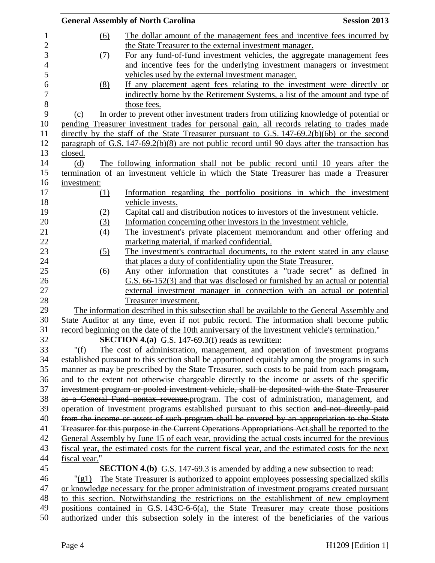|               | <b>General Assembly of North Carolina</b>                                                                                                                                               | <b>Session 2013</b> |
|---------------|-----------------------------------------------------------------------------------------------------------------------------------------------------------------------------------------|---------------------|
| (6)           | The dollar amount of the management fees and incentive fees incurred by                                                                                                                 |                     |
|               | the State Treasurer to the external investment manager.                                                                                                                                 |                     |
| (7)           | For any fund-of-fund investment vehicles, the aggregate management fees                                                                                                                 |                     |
|               | and incentive fees for the underlying investment managers or investment                                                                                                                 |                     |
|               | vehicles used by the external investment manager.                                                                                                                                       |                     |
| (8)           | If any placement agent fees relating to the investment were directly or                                                                                                                 |                     |
|               | indirectly borne by the Retirement Systems, a list of the amount and type of                                                                                                            |                     |
|               | those fees.                                                                                                                                                                             |                     |
|               |                                                                                                                                                                                         |                     |
| (c)           | In order to prevent other investment traders from utilizing knowledge of potential or                                                                                                   |                     |
|               | pending Treasurer investment trades for personal gain, all records relating to trades made                                                                                              |                     |
|               | directly by the staff of the State Treasurer pursuant to G.S. 147-69.2(b)(6b) or the second                                                                                             |                     |
|               | paragraph of G.S. $147-69.2(b)(8)$ are not public record until 90 days after the transaction has                                                                                        |                     |
| closed.       |                                                                                                                                                                                         |                     |
| (d)           | The following information shall not be public record until 10 years after the                                                                                                           |                     |
|               | termination of an investment vehicle in which the State Treasurer has made a Treasurer                                                                                                  |                     |
| investment:   |                                                                                                                                                                                         |                     |
| (1)           | Information regarding the portfolio positions in which the investment                                                                                                                   |                     |
|               | vehicle invests.                                                                                                                                                                        |                     |
| (2)           | Capital call and distribution notices to investors of the investment vehicle.                                                                                                           |                     |
| (3)           | Information concerning other investors in the investment vehicle.                                                                                                                       |                     |
| (4)           | The investment's private placement memorandum and other offering and                                                                                                                    |                     |
|               | marketing material, if marked confidential.                                                                                                                                             |                     |
| (5)           | The investment's contractual documents, to the extent stated in any clause                                                                                                              |                     |
|               | that places a duty of confidentiality upon the State Treasurer.                                                                                                                         |                     |
| (6)           | Any other information that constitutes a "trade secret" as defined in                                                                                                                   |                     |
|               | G.S. 66-152(3) and that was disclosed or furnished by an actual or potential                                                                                                            |                     |
|               | external investment manager in connection with an actual or potential                                                                                                                   |                     |
|               | Treasurer investment.                                                                                                                                                                   |                     |
|               | The information described in this subsection shall be available to the General Assembly and                                                                                             |                     |
|               | State Auditor at any time, even if not public record. The information shall become public                                                                                               |                     |
|               | record beginning on the date of the 10th anniversary of the investment vehicle's termination."                                                                                          |                     |
|               | <b>SECTION 4.(a)</b> G.S. 147-69.3(f) reads as rewritten:                                                                                                                               |                     |
| " $(f)$       | The cost of administration, management, and operation of investment programs                                                                                                            |                     |
|               | established pursuant to this section shall be apportioned equitably among the programs in such                                                                                          |                     |
|               | manner as may be prescribed by the State Treasurer, such costs to be paid from each program,                                                                                            |                     |
|               | and to the extent not otherwise chargeable directly to the income or assets of the specific                                                                                             |                     |
|               | investment program or pooled investment vehicle, shall be deposited with the State Treasurer                                                                                            |                     |
|               |                                                                                                                                                                                         |                     |
|               | as a General Fund nontax revenue.program. The cost of administration, management, and                                                                                                   |                     |
|               | operation of investment programs established pursuant to this section and not directly paid                                                                                             |                     |
|               | from the income or assets of such program shall be covered by an appropriation to the State                                                                                             |                     |
|               | Treasurer for this purpose in the Current Operations Appropriations Act shall be reported to the                                                                                        |                     |
|               | General Assembly by June 15 of each year, providing the actual costs incurred for the previous                                                                                          |                     |
|               | fiscal year, the estimated costs for the current fiscal year, and the estimated costs for the next                                                                                      |                     |
| fiscal year." |                                                                                                                                                                                         |                     |
|               | <b>SECTION 4.(b)</b> G.S. 147-69.3 is amended by adding a new subsection to read:                                                                                                       |                     |
| " $(g1)$      | The State Treasurer is authorized to appoint employees possessing specialized skills                                                                                                    |                     |
|               | or knowledge necessary for the proper administration of investment programs created pursuant                                                                                            |                     |
|               | to this section. Notwithstanding the restrictions on the establishment of new employment                                                                                                |                     |
|               | positions contained in G.S. 143C-6-6(a), the State Treasurer may create those positions<br>outhorized under this subsection solaly in the interest of the handficiaries of the vertices |                     |
|               |                                                                                                                                                                                         |                     |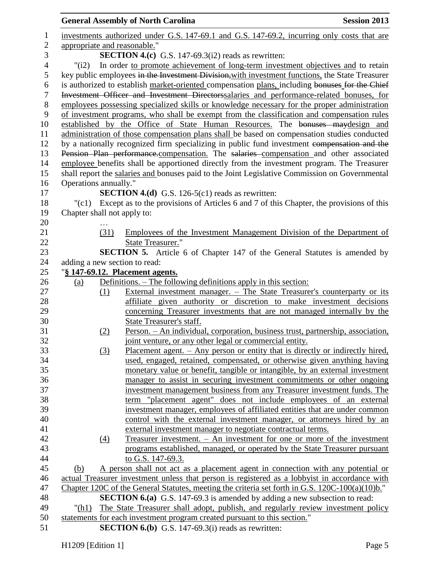|                |                             |                   | <b>General Assembly of North Carolina</b>                                                         | <b>Session 2013</b> |
|----------------|-----------------------------|-------------------|---------------------------------------------------------------------------------------------------|---------------------|
| $\mathbf{1}$   |                             |                   | investments authorized under G.S. 147-69.1 and G.S. 147-69.2, incurring only costs that are       |                     |
| $\overline{2}$ |                             |                   | appropriate and reasonable."                                                                      |                     |
| 3              |                             |                   | <b>SECTION 4.(c)</b> G.S. 147-69.3( $i2$ ) reads as rewritten:                                    |                     |
| $\overline{4}$ | "(i2)                       |                   | In order to promote achievement of long-term investment objectives and to retain                  |                     |
| 5              |                             |                   | key public employees in the Investment Division, with investment functions, the State Treasurer   |                     |
| 6              |                             |                   | is authorized to establish market-oriented compensation plans, including bonuses for the Chief    |                     |
| $\tau$         |                             |                   | Investment Officer and Investment Directorssalaries and performance-related bonuses, for          |                     |
| $8\,$          |                             |                   | employees possessing specialized skills or knowledge necessary for the proper administration      |                     |
| 9              |                             |                   | of investment programs, who shall be exempt from the classification and compensation rules        |                     |
| 10             |                             |                   | established by the Office of State Human Resources. The bonuses maydesign and                     |                     |
| 11             |                             |                   | administration of those compensation plans shall be based on compensation studies conducted       |                     |
| 12             |                             |                   | by a nationally recognized firm specializing in public fund investment compensation and the       |                     |
| 13             |                             |                   | Pension Plan performance.compensation. The salaries compensation and other associated             |                     |
| 14             |                             |                   | employee benefits shall be apportioned directly from the investment program. The Treasurer        |                     |
| 15             |                             |                   | shall report the salaries and bonuses paid to the Joint Legislative Commission on Governmental    |                     |
| 16             | Operations annually."       |                   |                                                                                                   |                     |
| 17             |                             |                   | <b>SECTION 4.(d)</b> G.S. 126-5(c1) reads as rewritten:                                           |                     |
| 18             | "(c1)                       |                   | Except as to the provisions of Articles 6 and 7 of this Chapter, the provisions of this           |                     |
| 19             | Chapter shall not apply to: |                   |                                                                                                   |                     |
| 20             |                             |                   |                                                                                                   |                     |
| 21             |                             | (31)              | Employees of the Investment Management Division of the Department of                              |                     |
| 22             |                             |                   | State Treasurer."                                                                                 |                     |
| 23             |                             |                   | <b>SECTION 5.</b> Article 6 of Chapter 147 of the General Statutes is amended by                  |                     |
| 24             |                             |                   | adding a new section to read:                                                                     |                     |
| 25             |                             |                   | "§ 147-69.12. Placement agents.                                                                   |                     |
| 26             | (a)                         |                   | Definitions. – The following definitions apply in this section:                                   |                     |
| 27             |                             | (1)               | External investment manager. – The State Treasurer's counterparty or its                          |                     |
| 28             |                             |                   | affiliate given authority or discretion to make investment decisions                              |                     |
| 29             |                             |                   | concerning Treasurer investments that are not managed internally by the                           |                     |
| 30             |                             |                   | State Treasurer's staff.                                                                          |                     |
| 31             |                             |                   | <u> Person. – An individual, corporation, business trust, partnership, association,</u>           |                     |
| 32             |                             | <u>(2)</u>        | joint venture, or any other legal or commercial entity.                                           |                     |
| 33             |                             |                   | <u>Placement agent. – Any person or entity that is directly or indirectly hired,</u>              |                     |
| 34             |                             | (3)               | used, engaged, retained, compensated, or otherwise given anything having                          |                     |
| 35             |                             |                   | monetary value or benefit, tangible or intangible, by an external investment                      |                     |
| 36             |                             |                   |                                                                                                   |                     |
|                |                             |                   | manager to assist in securing investment commitments or other ongoing                             |                     |
| 37             |                             |                   | investment management business from any Treasurer investment funds. The                           |                     |
| 38             |                             |                   | term "placement agent" does not include employees of an external                                  |                     |
| 39             |                             |                   | investment manager, employees of affiliated entities that are under common                        |                     |
| 40             |                             |                   | control with the external investment manager, or attorneys hired by an                            |                     |
| 41             |                             |                   | external investment manager to negotiate contractual terms.                                       |                     |
| 42             |                             | $\underline{(4)}$ | Treasurer investment. $-$ An investment for one or more of the investment                         |                     |
| 43             |                             |                   | programs established, managed, or operated by the State Treasurer pursuant                        |                     |
| 44             |                             |                   | to G.S. 147-69.3.                                                                                 |                     |
| 45             | (b)                         |                   | A person shall not act as a placement agent in connection with any potential or                   |                     |
| 46             |                             |                   | actual Treasurer investment unless that person is registered as a lobbyist in accordance with     |                     |
| 47             |                             |                   | Chapter 120C of the General Statutes, meeting the criteria set forth in G.S. $120C-100(a)(10)b$ . |                     |
| 48             |                             |                   | <b>SECTION 6.(a)</b> G.S. 147-69.3 is amended by adding a new subsection to read:                 |                     |
| 49             | "(h1)                       |                   | The State Treasurer shall adopt, publish, and regularly review investment policy                  |                     |
| 50             |                             |                   | statements for each investment program created pursuant to this section."                         |                     |
| 51             |                             |                   | <b>SECTION 6.(b)</b> G.S. 147-69.3(i) reads as rewritten:                                         |                     |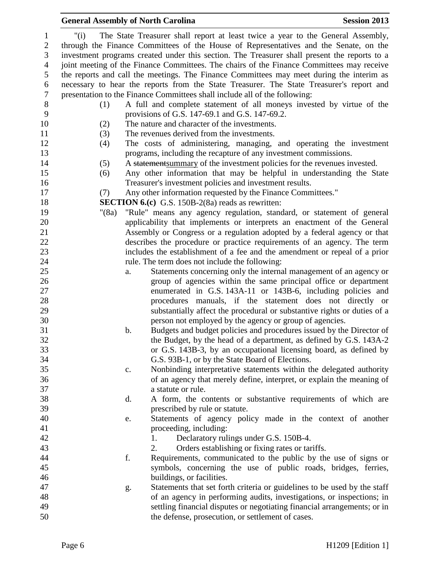#### "(i) The State Treasurer shall report at least twice a year to the General Assembly, through the Finance Committees of the House of Representatives and the Senate, on the investment programs created under this section. The Treasurer shall present the reports to a joint meeting of the Finance Committees. The chairs of the Finance Committees may receive the reports and call the meetings. The Finance Committees may meet during the interim as necessary to hear the reports from the State Treasurer. The State Treasurer's report and presentation to the Finance Committees shall include all of the following: (1) A full and complete statement of all moneys invested by virtue of the provisions of G.S. 147-69.1 and G.S. 147-69.2. (2) The nature and character of the investments. (3) The revenues derived from the investments. (4) The costs of administering, managing, and operating the investment programs, including the recapture of any investment commissions. (5) A statementsummary of the investment policies for the revenues invested. (6) Any other information that may be helpful in understanding the State Treasurer's investment policies and investment results. (7) Any other information requested by the Finance Committees." **SECTION 6.(c)** G.S. 150B-2(8a) reads as rewritten: "(8a) "Rule" means any agency regulation, standard, or statement of general applicability that implements or interprets an enactment of the General Assembly or Congress or a regulation adopted by a federal agency or that describes the procedure or practice requirements of an agency. The term includes the establishment of a fee and the amendment or repeal of a prior rule. The term does not include the following: a. Statements concerning only the internal management of an agency or group of agencies within the same principal office or department enumerated in G.S. 143A-11 or 143B-6, including policies and procedures manuals, if the statement does not directly or substantially affect the procedural or substantive rights or duties of a person not employed by the agency or group of agencies. b. Budgets and budget policies and procedures issued by the Director of the Budget, by the head of a department, as defined by G.S. 143A-2 or G.S. 143B-3, by an occupational licensing board, as defined by G.S. 93B-1, or by the State Board of Elections. c. Nonbinding interpretative statements within the delegated authority of an agency that merely define, interpret, or explain the meaning of a statute or rule. d. A form, the contents or substantive requirements of which are prescribed by rule or statute. e. Statements of agency policy made in the context of another 41 proceeding, including: 42 1. Declaratory rulings under G.S. 150B-4. 2. Orders establishing or fixing rates or tariffs. f. Requirements, communicated to the public by the use of signs or symbols, concerning the use of public roads, bridges, ferries, buildings, or facilities. g. Statements that set forth criteria or guidelines to be used by the staff of an agency in performing audits, investigations, or inspections; in settling financial disputes or negotiating financial arrangements; or in the defense, prosecution, or settlement of cases.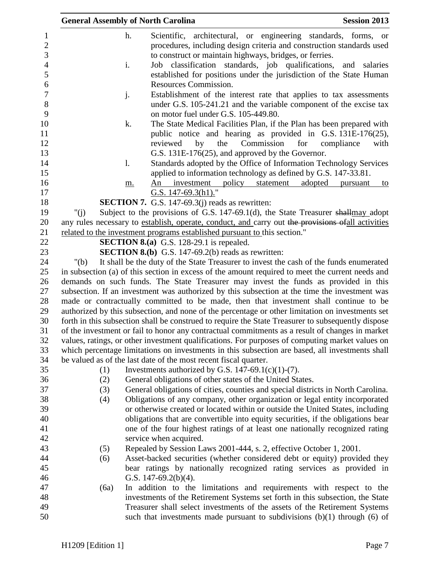|                                     | <b>General Assembly of North Carolina</b> |                                                                                                                                                                                            | <b>Session 2013</b> |
|-------------------------------------|-------------------------------------------|--------------------------------------------------------------------------------------------------------------------------------------------------------------------------------------------|---------------------|
| $\mathbf{1}$<br>$\overline{c}$<br>3 | h.                                        | Scientific, architectural, or engineering standards, forms, or<br>procedures, including design criteria and construction standards used                                                    |                     |
|                                     |                                           | to construct or maintain highways, bridges, or ferries.                                                                                                                                    |                     |
| $\overline{4}$<br>5                 | i.                                        | Job classification standards, job qualifications,                                                                                                                                          | and salaries        |
| 6                                   |                                           | established for positions under the jurisdiction of the State Human<br>Resources Commission.                                                                                               |                     |
| $\boldsymbol{7}$                    |                                           | Establishment of the interest rate that applies to tax assessments                                                                                                                         |                     |
| 8                                   | j.                                        | under G.S. 105-241.21 and the variable component of the excise tax                                                                                                                         |                     |
| 9                                   |                                           | on motor fuel under G.S. 105-449.80.                                                                                                                                                       |                     |
| 10                                  | k.                                        | The State Medical Facilities Plan, if the Plan has been prepared with                                                                                                                      |                     |
| 11                                  |                                           | public notice and hearing as provided in G.S. 131E-176(25),                                                                                                                                |                     |
| 12                                  |                                           | the<br>Commission<br>for<br>reviewed<br>by                                                                                                                                                 | compliance<br>with  |
| 13                                  |                                           | G.S. 131E-176(25), and approved by the Governor.                                                                                                                                           |                     |
| 14                                  | 1.                                        | Standards adopted by the Office of Information Technology Services                                                                                                                         |                     |
| 15                                  |                                           | applied to information technology as defined by G.S. 147-33.81.                                                                                                                            |                     |
| 16                                  | m.                                        | policy statement<br>adopted<br>An<br>investment                                                                                                                                            | pursuant<br>to      |
| 17                                  |                                           | G.S. 147-69.3(h1)."                                                                                                                                                                        |                     |
| 18                                  |                                           | <b>SECTION 7.</b> G.S. 147-69.3(j) reads as rewritten:                                                                                                                                     |                     |
| 19                                  | " $(i)$                                   | Subject to the provisions of G.S. 147-69.1(d), the State Treasurer shallmay adopt                                                                                                          |                     |
| 20                                  |                                           | any rules necessary to establish, operate, conduct, and carry out the provisions of all activities                                                                                         |                     |
| 21<br>22                            |                                           | related to the investment programs established pursuant to this section."                                                                                                                  |                     |
| 23                                  |                                           | SECTION 8.(a) G.S. 128-29.1 is repealed.<br><b>SECTION 8.(b)</b> G.S. 147-69.2(b) reads as rewritten:                                                                                      |                     |
| 24                                  |                                           |                                                                                                                                                                                            |                     |
| 25                                  | " $(b)$                                   | It shall be the duty of the State Treasurer to invest the cash of the funds enumerated<br>in subsection (a) of this section in excess of the amount required to meet the current needs and |                     |
| 26                                  |                                           | demands on such funds. The State Treasurer may invest the funds as provided in this                                                                                                        |                     |
| 27                                  |                                           | subsection. If an investment was authorized by this subsection at the time the investment was                                                                                              |                     |
| 28                                  |                                           | made or contractually committed to be made, then that investment shall continue to be                                                                                                      |                     |
| 29                                  |                                           | authorized by this subsection, and none of the percentage or other limitation on investments set                                                                                           |                     |
| 30                                  |                                           | forth in this subsection shall be construed to require the State Treasurer to subsequently dispose                                                                                         |                     |
| 31                                  |                                           | of the investment or fail to honor any contractual commitments as a result of changes in market                                                                                            |                     |
| 32                                  |                                           | values, ratings, or other investment qualifications. For purposes of computing market values on                                                                                            |                     |
| 33                                  |                                           | which percentage limitations on investments in this subsection are based, all investments shall                                                                                            |                     |
| 34                                  |                                           | be valued as of the last date of the most recent fiscal quarter.                                                                                                                           |                     |
| 35                                  | (1)                                       | Investments authorized by G.S. 147-69.1(c)(1)-(7).                                                                                                                                         |                     |
| 36                                  | (2)                                       | General obligations of other states of the United States.                                                                                                                                  |                     |
| 37                                  | (3)                                       | General obligations of cities, counties and special districts in North Carolina.                                                                                                           |                     |
| 38                                  | (4)                                       | Obligations of any company, other organization or legal entity incorporated                                                                                                                |                     |
| 39                                  |                                           | or otherwise created or located within or outside the United States, including                                                                                                             |                     |
| 40                                  |                                           | obligations that are convertible into equity securities, if the obligations bear                                                                                                           |                     |
| 41                                  |                                           | one of the four highest ratings of at least one nationally recognized rating                                                                                                               |                     |
| 42                                  |                                           | service when acquired.                                                                                                                                                                     |                     |
| 43                                  | (5)                                       | Repealed by Session Laws 2001-444, s. 2, effective October 1, 2001.                                                                                                                        |                     |
| 44                                  | (6)                                       | Asset-backed securities (whether considered debt or equity) provided they                                                                                                                  |                     |
| 45                                  |                                           | bear ratings by nationally recognized rating services as provided in                                                                                                                       |                     |
| 46                                  |                                           | G.S. $147-69.2(b)(4)$ .                                                                                                                                                                    |                     |
| 47                                  | (6a)                                      | In addition to the limitations and requirements with respect to the                                                                                                                        |                     |
| 48                                  |                                           | investments of the Retirement Systems set forth in this subsection, the State                                                                                                              |                     |
| 49                                  |                                           | Treasurer shall select investments of the assets of the Retirement Systems                                                                                                                 |                     |
| 50                                  |                                           | such that investments made pursuant to subdivisions $(b)(1)$ through $(6)$ of                                                                                                              |                     |